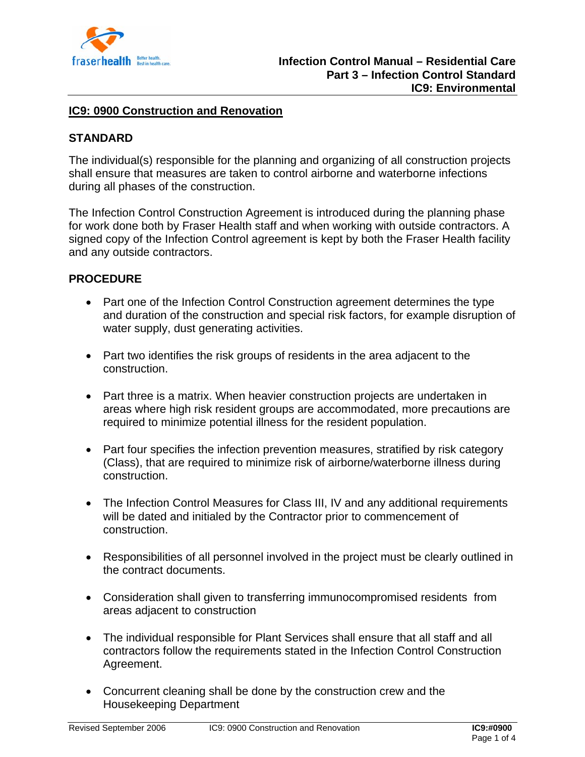

### **IC9: 0900 Construction and Renovation**

# **STANDARD**

The individual(s) responsible for the planning and organizing of all construction projects shall ensure that measures are taken to control airborne and waterborne infections during all phases of the construction.

The Infection Control Construction Agreement is introduced during the planning phase for work done both by Fraser Health staff and when working with outside contractors. A signed copy of the Infection Control agreement is kept by both the Fraser Health facility and any outside contractors.

### **PROCEDURE**

- Part one of the Infection Control Construction agreement determines the type and duration of the construction and special risk factors, for example disruption of water supply, dust generating activities.
- Part two identifies the risk groups of residents in the area adjacent to the construction.
- Part three is a matrix. When heavier construction projects are undertaken in areas where high risk resident groups are accommodated, more precautions are required to minimize potential illness for the resident population.
- Part four specifies the infection prevention measures, stratified by risk category (Class), that are required to minimize risk of airborne/waterborne illness during construction.
- The Infection Control Measures for Class III, IV and any additional requirements will be dated and initialed by the Contractor prior to commencement of construction.
- Responsibilities of all personnel involved in the project must be clearly outlined in the contract documents.
- Consideration shall given to transferring immunocompromised residents from areas adjacent to construction
- The individual responsible for Plant Services shall ensure that all staff and all contractors follow the requirements stated in the Infection Control Construction Agreement.
- Concurrent cleaning shall be done by the construction crew and the Housekeeping Department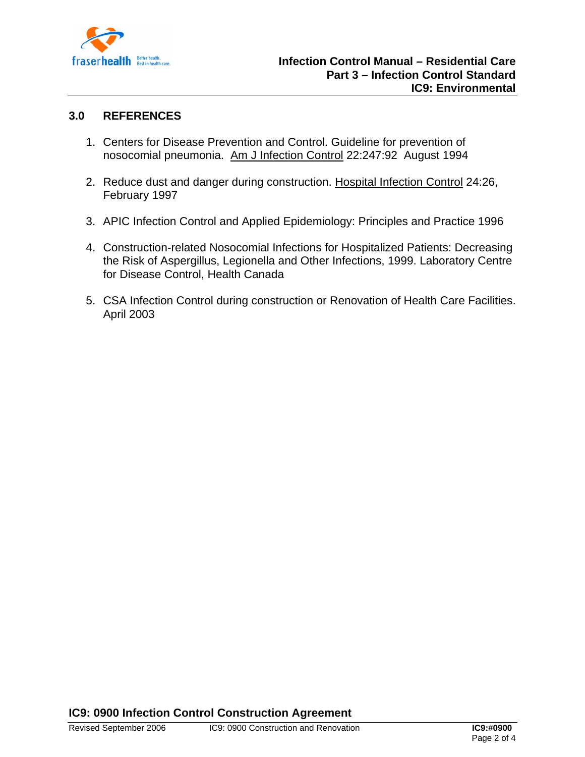

## **3.0 REFERENCES**

- 1. Centers for Disease Prevention and Control. Guideline for prevention of nosocomial pneumonia. Am J Infection Control 22:247:92 August 1994
- 2. Reduce dust and danger during construction. Hospital Infection Control 24:26, February 1997
- 3. APIC Infection Control and Applied Epidemiology: Principles and Practice 1996
- 4. Construction-related Nosocomial Infections for Hospitalized Patients: Decreasing the Risk of Aspergillus, Legionella and Other Infections, 1999. Laboratory Centre for Disease Control, Health Canada
- 5. CSA Infection Control during construction or Renovation of Health Care Facilities. April 2003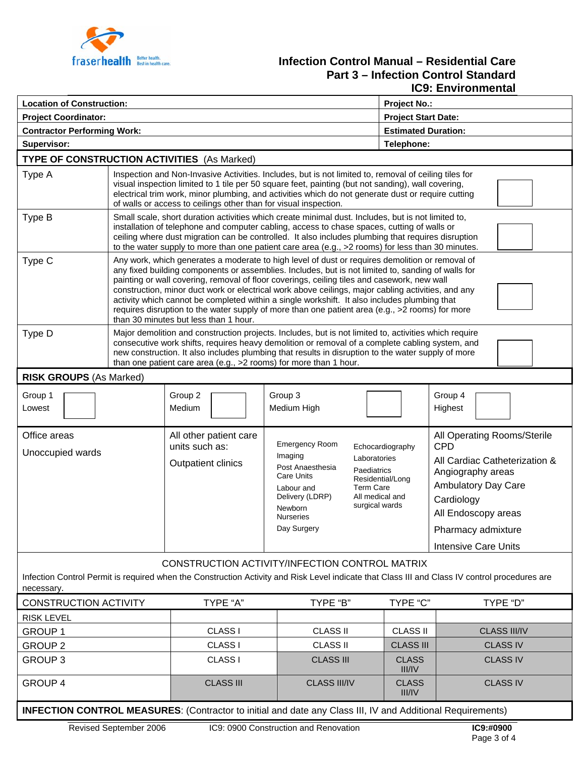

# **Fraserhealth Belfer beatle** contain care. **Part 3 – Infection Control Standard IC9: Environmental**

| <b>Location of Construction:</b>                                                                                                                                                                               |                                                                                                                                                                                                                                                                                                                                                                                                                                                                                                                                                                                                                                                        |                                                                       |                                                                                                                                                                                                                                                                            |                               | <b>Project No.:</b>                                                                                                                                                                                                     |  |  |
|----------------------------------------------------------------------------------------------------------------------------------------------------------------------------------------------------------------|--------------------------------------------------------------------------------------------------------------------------------------------------------------------------------------------------------------------------------------------------------------------------------------------------------------------------------------------------------------------------------------------------------------------------------------------------------------------------------------------------------------------------------------------------------------------------------------------------------------------------------------------------------|-----------------------------------------------------------------------|----------------------------------------------------------------------------------------------------------------------------------------------------------------------------------------------------------------------------------------------------------------------------|-------------------------------|-------------------------------------------------------------------------------------------------------------------------------------------------------------------------------------------------------------------------|--|--|
| <b>Project Coordinator:</b>                                                                                                                                                                                    |                                                                                                                                                                                                                                                                                                                                                                                                                                                                                                                                                                                                                                                        |                                                                       |                                                                                                                                                                                                                                                                            |                               | <b>Project Start Date:</b>                                                                                                                                                                                              |  |  |
| <b>Contractor Performing Work:</b>                                                                                                                                                                             |                                                                                                                                                                                                                                                                                                                                                                                                                                                                                                                                                                                                                                                        |                                                                       |                                                                                                                                                                                                                                                                            | <b>Estimated Duration:</b>    |                                                                                                                                                                                                                         |  |  |
| Supervisor:                                                                                                                                                                                                    |                                                                                                                                                                                                                                                                                                                                                                                                                                                                                                                                                                                                                                                        |                                                                       |                                                                                                                                                                                                                                                                            | Telephone:                    |                                                                                                                                                                                                                         |  |  |
| <b>TYPE OF CONSTRUCTION ACTIVITIES</b> (As Marked)                                                                                                                                                             |                                                                                                                                                                                                                                                                                                                                                                                                                                                                                                                                                                                                                                                        |                                                                       |                                                                                                                                                                                                                                                                            |                               |                                                                                                                                                                                                                         |  |  |
| Type A                                                                                                                                                                                                         | Inspection and Non-Invasive Activities. Includes, but is not limited to, removal of ceiling tiles for<br>visual inspection limited to 1 tile per 50 square feet, painting (but not sanding), wall covering,<br>electrical trim work, minor plumbing, and activities which do not generate dust or require cutting<br>of walls or access to ceilings other than for visual inspection.                                                                                                                                                                                                                                                                  |                                                                       |                                                                                                                                                                                                                                                                            |                               |                                                                                                                                                                                                                         |  |  |
| Type B                                                                                                                                                                                                         | Small scale, short duration activities which create minimal dust. Includes, but is not limited to,<br>installation of telephone and computer cabling, access to chase spaces, cutting of walls or<br>ceiling where dust migration can be controlled. It also includes plumbing that requires disruption<br>to the water supply to more than one patient care area (e.g., >2 rooms) for less than 30 minutes.                                                                                                                                                                                                                                           |                                                                       |                                                                                                                                                                                                                                                                            |                               |                                                                                                                                                                                                                         |  |  |
| Type C                                                                                                                                                                                                         | Any work, which generates a moderate to high level of dust or requires demolition or removal of<br>any fixed building components or assemblies. Includes, but is not limited to, sanding of walls for<br>painting or wall covering, removal of floor coverings, ceiling tiles and casework, new wall<br>construction, minor duct work or electrical work above ceilings, major cabling activities, and any<br>activity which cannot be completed within a single workshift. It also includes plumbing that<br>requires disruption to the water supply of more than one patient area (e.g., >2 rooms) for more<br>than 30 minutes but less than 1 hour. |                                                                       |                                                                                                                                                                                                                                                                            |                               |                                                                                                                                                                                                                         |  |  |
| Type D                                                                                                                                                                                                         | Major demolition and construction projects. Includes, but is not limited to, activities which require<br>consecutive work shifts, requires heavy demolition or removal of a complete cabling system, and<br>new construction. It also includes plumbing that results in disruption to the water supply of more<br>than one patient care area (e.g., >2 rooms) for more than 1 hour.                                                                                                                                                                                                                                                                    |                                                                       |                                                                                                                                                                                                                                                                            |                               |                                                                                                                                                                                                                         |  |  |
| <b>RISK GROUPS (As Marked)</b>                                                                                                                                                                                 |                                                                                                                                                                                                                                                                                                                                                                                                                                                                                                                                                                                                                                                        |                                                                       |                                                                                                                                                                                                                                                                            |                               |                                                                                                                                                                                                                         |  |  |
| Group 1<br>Lowest                                                                                                                                                                                              |                                                                                                                                                                                                                                                                                                                                                                                                                                                                                                                                                                                                                                                        | Group 2<br>Medium                                                     | Group 3<br>Medium High                                                                                                                                                                                                                                                     |                               | Group 4<br>Highest                                                                                                                                                                                                      |  |  |
| Office areas<br>Unoccupied wards                                                                                                                                                                               |                                                                                                                                                                                                                                                                                                                                                                                                                                                                                                                                                                                                                                                        | All other patient care<br>units such as:<br><b>Outpatient clinics</b> | Emergency Room<br>Echocardiography<br>Imaging<br>Laboratories<br>Post Anaesthesia<br>Paediatrics<br>Care Units<br>Residential/Long<br><b>Term Care</b><br>Labour and<br>All medical and<br>Delivery (LDRP)<br>surgical wards<br>Newborn<br><b>Nurseries</b><br>Day Surgery |                               | All Operating Rooms/Sterile<br><b>CPD</b><br>All Cardiac Catheterization &<br>Angiography areas<br><b>Ambulatory Day Care</b><br>Cardiology<br>All Endoscopy areas<br>Pharmacy admixture<br><b>Intensive Care Units</b> |  |  |
| CONSTRUCTION ACTIVITY/INFECTION CONTROL MATRIX<br>Infection Control Permit is required when the Construction Activity and Risk Level indicate that Class III and Class IV control procedures are<br>necessary. |                                                                                                                                                                                                                                                                                                                                                                                                                                                                                                                                                                                                                                                        |                                                                       |                                                                                                                                                                                                                                                                            |                               |                                                                                                                                                                                                                         |  |  |
| <b>CONSTRUCTION ACTIVITY</b>                                                                                                                                                                                   |                                                                                                                                                                                                                                                                                                                                                                                                                                                                                                                                                                                                                                                        | TYPE "A"                                                              | TYPE "B"                                                                                                                                                                                                                                                                   | TYPE "C"                      | TYPE "D"                                                                                                                                                                                                                |  |  |
| <b>RISK LEVEL</b>                                                                                                                                                                                              |                                                                                                                                                                                                                                                                                                                                                                                                                                                                                                                                                                                                                                                        |                                                                       |                                                                                                                                                                                                                                                                            |                               |                                                                                                                                                                                                                         |  |  |
| <b>GROUP 1</b>                                                                                                                                                                                                 |                                                                                                                                                                                                                                                                                                                                                                                                                                                                                                                                                                                                                                                        | CLASS I                                                               | <b>CLASS II</b>                                                                                                                                                                                                                                                            | <b>CLASS II</b>               | <b>CLASS III/IV</b>                                                                                                                                                                                                     |  |  |
| <b>GROUP 2</b>                                                                                                                                                                                                 |                                                                                                                                                                                                                                                                                                                                                                                                                                                                                                                                                                                                                                                        | CLASS I                                                               | <b>CLASS II</b>                                                                                                                                                                                                                                                            | <b>CLASS III</b>              | <b>CLASS IV</b>                                                                                                                                                                                                         |  |  |
| <b>GROUP 3</b>                                                                                                                                                                                                 |                                                                                                                                                                                                                                                                                                                                                                                                                                                                                                                                                                                                                                                        | <b>CLASS I</b>                                                        | <b>CLASS III</b>                                                                                                                                                                                                                                                           | <b>CLASS</b><br>III/IV        | <b>CLASS IV</b>                                                                                                                                                                                                         |  |  |
| <b>GROUP 4</b>                                                                                                                                                                                                 |                                                                                                                                                                                                                                                                                                                                                                                                                                                                                                                                                                                                                                                        | <b>CLASS III</b>                                                      | <b>CLASS III/IV</b>                                                                                                                                                                                                                                                        | <b>CLASS</b><br><b>III/IV</b> | <b>CLASS IV</b>                                                                                                                                                                                                         |  |  |
| <b>INFECTION CONTROL MEASURES:</b> (Contractor to initial and date any Class III, IV and Additional Requirements)                                                                                              |                                                                                                                                                                                                                                                                                                                                                                                                                                                                                                                                                                                                                                                        |                                                                       |                                                                                                                                                                                                                                                                            |                               |                                                                                                                                                                                                                         |  |  |